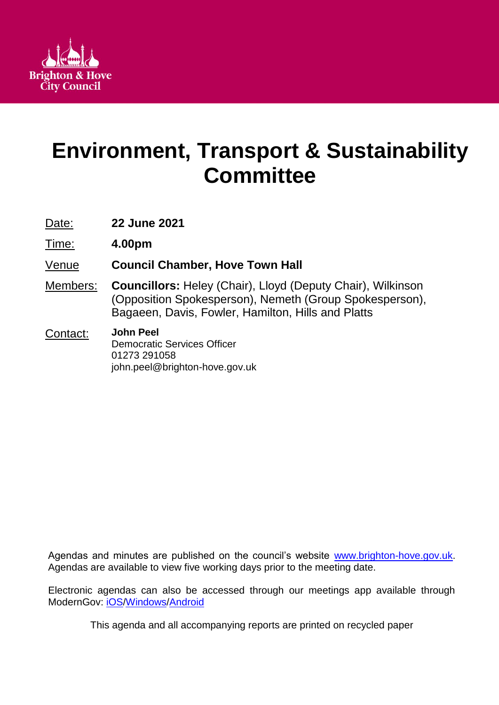

# **Environment, Transport & Sustainability Committee**

Date: **22 June 2021**

Time: **4.00pm**

- Venue **Council Chamber, Hove Town Hall**
- Members: **Councillors:** Heley (Chair), Lloyd (Deputy Chair), Wilkinson (Opposition Spokesperson), Nemeth (Group Spokesperson), Bagaeen, Davis, Fowler, Hamilton, Hills and Platts

#### Contact: **John Peel** Democratic Services Officer 01273 291058 john.peel@brighton-hove.gov.uk

Agendas and minutes are published on the council's website [www.brighton-hove.gov.uk.](http://www.brighton-hove.gov.uk/) Agendas are available to view five working days prior to the meeting date.

Electronic agendas can also be accessed through our meetings app available through ModernGov: [iOS](https://play.google.com/store/apps/details?id=uk.co.moderngov.modgov&hl=en_GB)[/Windows/](https://www.microsoft.com/en-gb/p/modgov/9nblggh0c7s7#activetab=pivot:overviewtab)[Android](https://play.google.com/store/apps/details?id=uk.co.moderngov.modgov&hl=en_GB)

This agenda and all accompanying reports are printed on recycled paper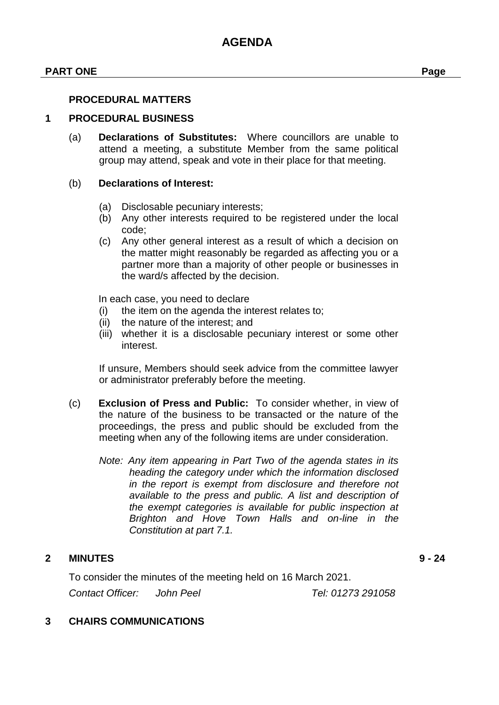#### **PART ONE Page**

#### **PROCEDURAL MATTERS**

#### **1 PROCEDURAL BUSINESS**

(a) **Declarations of Substitutes:** Where councillors are unable to attend a meeting, a substitute Member from the same political group may attend, speak and vote in their place for that meeting.

#### (b) **Declarations of Interest:**

- (a) Disclosable pecuniary interests;
- (b) Any other interests required to be registered under the local code;
- (c) Any other general interest as a result of which a decision on the matter might reasonably be regarded as affecting you or a partner more than a majority of other people or businesses in the ward/s affected by the decision.

In each case, you need to declare

- (i) the item on the agenda the interest relates to;
- (ii) the nature of the interest; and
- (iii) whether it is a disclosable pecuniary interest or some other interest.

If unsure, Members should seek advice from the committee lawyer or administrator preferably before the meeting.

- (c) **Exclusion of Press and Public:** To consider whether, in view of the nature of the business to be transacted or the nature of the proceedings, the press and public should be excluded from the meeting when any of the following items are under consideration.
	- *Note: Any item appearing in Part Two of the agenda states in its heading the category under which the information disclosed in the report is exempt from disclosure and therefore not available to the press and public. A list and description of the exempt categories is available for public inspection at Brighton and Hove Town Halls and on-line in the Constitution at part 7.1.*

#### **2 MINUTES 9 - 24**

To consider the minutes of the meeting held on 16 March 2021.

*Contact Officer: John Peel Tel: 01273 291058*

#### **3 CHAIRS COMMUNICATIONS**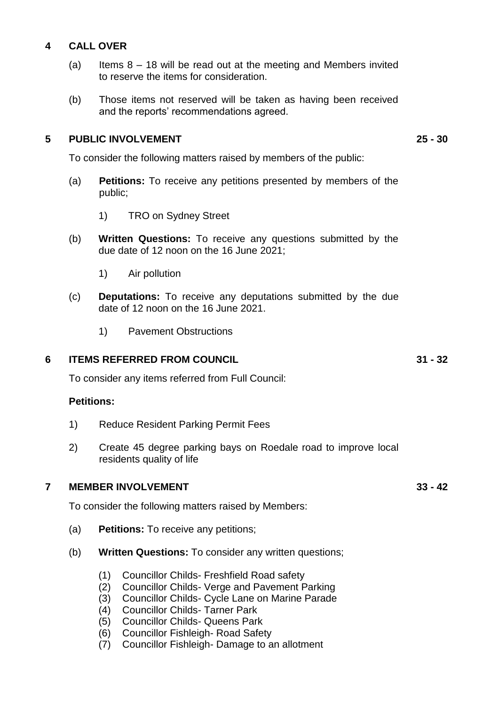## **4 CALL OVER**

- (a) Items  $8 18$  will be read out at the meeting and Members invited to reserve the items for consideration.
- (b) Those items not reserved will be taken as having been received and the reports' recommendations agreed.

## **5 PUBLIC INVOLVEMENT 25 - 30**

To consider the following matters raised by members of the public:

- (a) **Petitions:** To receive any petitions presented by members of the public;
	- 1) TRO on Sydney Street
- (b) **Written Questions:** To receive any questions submitted by the due date of 12 noon on the 16 June 2021;
	- 1) Air pollution
- (c) **Deputations:** To receive any deputations submitted by the due date of 12 noon on the 16 June 2021.
	- 1) Pavement Obstructions

#### **6 ITEMS REFERRED FROM COUNCIL 31 - 32**

To consider any items referred from Full Council:

#### **Petitions:**

- 1) Reduce Resident Parking Permit Fees
- 2) Create 45 degree parking bays on Roedale road to improve local residents quality of life

#### **7 MEMBER INVOLVEMENT 33 - 42**

To consider the following matters raised by Members:

- (a) **Petitions:** To receive any petitions;
- (b) **Written Questions:** To consider any written questions;
	- (1) Councillor Childs- Freshfield Road safety
	- (2) Councillor Childs- Verge and Pavement Parking
	- (3) Councillor Childs- Cycle Lane on Marine Parade
	- (4) Councillor Childs- Tarner Park
	- (5) Councillor Childs- Queens Park
	- (6) Councillor Fishleigh- Road Safety
	- (7) Councillor Fishleigh- Damage to an allotment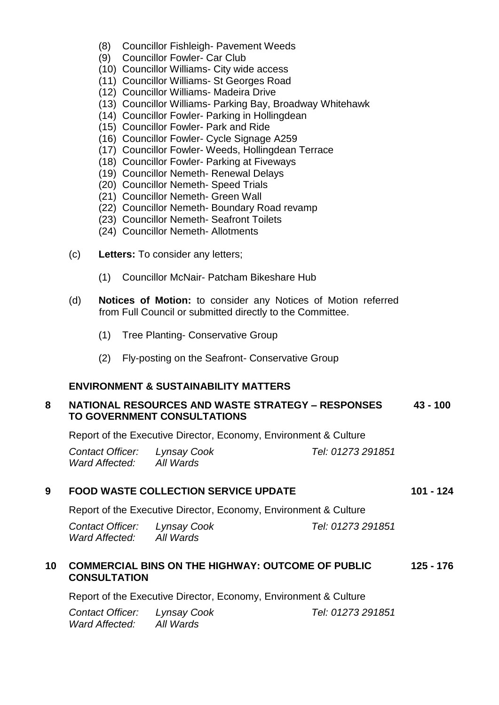- (8) Councillor Fishleigh- Pavement Weeds
- (9) Councillor Fowler- Car Club
- (10) Councillor Williams- City wide access
- (11) Councillor Williams- St Georges Road
- (12) Councillor Williams- Madeira Drive
- (13) Councillor Williams- Parking Bay, Broadway Whitehawk
- (14) Councillor Fowler- Parking in Hollingdean
- (15) Councillor Fowler- Park and Ride
- (16) Councillor Fowler- Cycle Signage A259
- (17) Councillor Fowler- Weeds, Hollingdean Terrace
- (18) Councillor Fowler- Parking at Fiveways
- (19) Councillor Nemeth- Renewal Delays
- (20) Councillor Nemeth- Speed Trials
- (21) Councillor Nemeth- Green Wall
- (22) Councillor Nemeth- Boundary Road revamp
- (23) Councillor Nemeth- Seafront Toilets
- (24) Councillor Nemeth- Allotments
- (c) **Letters:** To consider any letters;
	- (1) Councillor McNair- Patcham Bikeshare Hub
- (d) **Notices of Motion:** to consider any Notices of Motion referred from Full Council or submitted directly to the Committee.
	- (1) Tree Planting- Conservative Group
	- (2) Fly-posting on the Seafront- Conservative Group

#### **ENVIRONMENT & SUSTAINABILITY MATTERS**

#### **8 NATIONAL RESOURCES AND WASTE STRATEGY – RESPONSES TO GOVERNMENT CONSULTATIONS 43 - 100**

Report of the Executive Director, Economy, Environment & Culture

| Contact Officer: | Lynsay Cook | Tel: 01273 291851 |
|------------------|-------------|-------------------|
| Ward Affected:   | All Wards   |                   |

#### **9 FOOD WASTE COLLECTION SERVICE UPDATE 101 - 124**

Report of the Executive Director, Economy, Environment & Culture

| <b>Contact Officer:</b> | Lynsay Cook | Tel: 01273 291851 |
|-------------------------|-------------|-------------------|
| Ward Affected:          | All Wards   |                   |

#### **10 COMMERCIAL BINS ON THE HIGHWAY: OUTCOME OF PUBLIC CONSULTATION 125 - 176**

Report of the Executive Director, Economy, Environment & Culture

| Contact Officer: | Lynsay Cook | Tel: 01273 291851 |
|------------------|-------------|-------------------|
| Ward Affected:   | All Wards   |                   |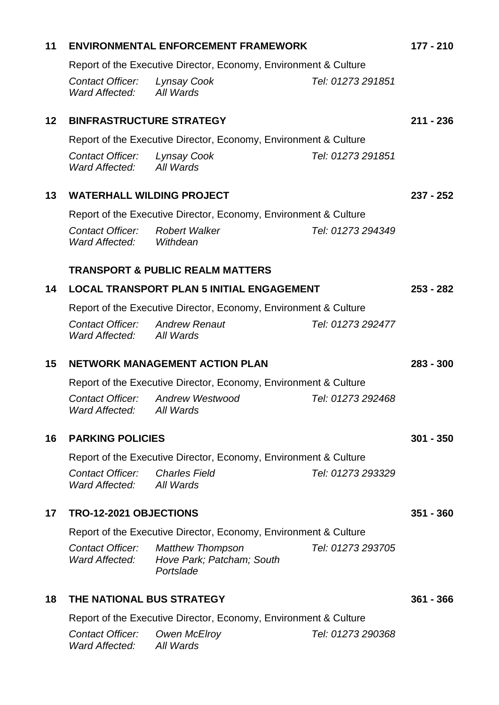| 11              | <b>ENVIRONMENTAL ENFORCEMENT FRAMEWORK</b>                       |                                                                   |                   | 177 - 210   |
|-----------------|------------------------------------------------------------------|-------------------------------------------------------------------|-------------------|-------------|
|                 | Report of the Executive Director, Economy, Environment & Culture |                                                                   |                   |             |
|                 | Contact Officer: Lynsay Cook<br>Ward Affected:                   | All Wards                                                         | Tel: 01273 291851 |             |
| 12 <sup>2</sup> | <b>BINFRASTRUCTURE STRATEGY</b>                                  |                                                                   |                   | $211 - 236$ |
|                 | Report of the Executive Director, Economy, Environment & Culture |                                                                   |                   |             |
|                 | <b>Contact Officer:</b><br>Ward Affected:                        | <b>Lynsay Cook</b><br>All Wards                                   | Tel: 01273 291851 |             |
| 13              | <b>WATERHALL WILDING PROJECT</b>                                 |                                                                   |                   | $237 - 252$ |
|                 |                                                                  | Report of the Executive Director, Economy, Environment & Culture  |                   |             |
|                 | Contact Officer:<br>Ward Affected: Withdean                      | <b>Robert Walker</b>                                              | Tel: 01273 294349 |             |
|                 |                                                                  | <b>TRANSPORT &amp; PUBLIC REALM MATTERS</b>                       |                   |             |
| 14              | <b>LOCAL TRANSPORT PLAN 5 INITIAL ENGAGEMENT</b>                 |                                                                   |                   | $253 - 282$ |
|                 | Report of the Executive Director, Economy, Environment & Culture |                                                                   |                   |             |
|                 | Contact Officer:<br>Ward Affected:                               | <b>Andrew Renaut</b><br>All Wards                                 | Tel: 01273 292477 |             |
| 15              | <b>NETWORK MANAGEMENT ACTION PLAN</b>                            |                                                                   |                   | $283 - 300$ |
|                 | Report of the Executive Director, Economy, Environment & Culture |                                                                   |                   |             |
|                 | Contact Officer:<br>Ward Affected:                               | <b>Andrew Westwood</b><br>All Wards                               | Tel: 01273 292468 |             |
| 16              | <b>PARKING POLICIES</b>                                          |                                                                   |                   | $301 - 350$ |
|                 | Report of the Executive Director, Economy, Environment & Culture |                                                                   |                   |             |
|                 | <b>Contact Officer:</b><br>Ward Affected:                        | <b>Charles Field</b><br>All Wards                                 | Tel: 01273 293329 |             |
| 17              | TRO-12-2021 OBJECTIONS                                           |                                                                   |                   | $351 - 360$ |
|                 | Report of the Executive Director, Economy, Environment & Culture |                                                                   |                   |             |
|                 | Contact Officer:<br>Ward Affected:                               | <b>Matthew Thompson</b><br>Hove Park; Patcham; South<br>Portslade | Tel: 01273 293705 |             |
| 18              | THE NATIONAL BUS STRATEGY                                        |                                                                   |                   |             |
|                 | Report of the Executive Director, Economy, Environment & Culture |                                                                   |                   |             |
|                 | <b>Contact Officer:</b><br><b>Ward Affected:</b>                 | Owen McElroy<br>All Wards                                         | Tel: 01273 290368 |             |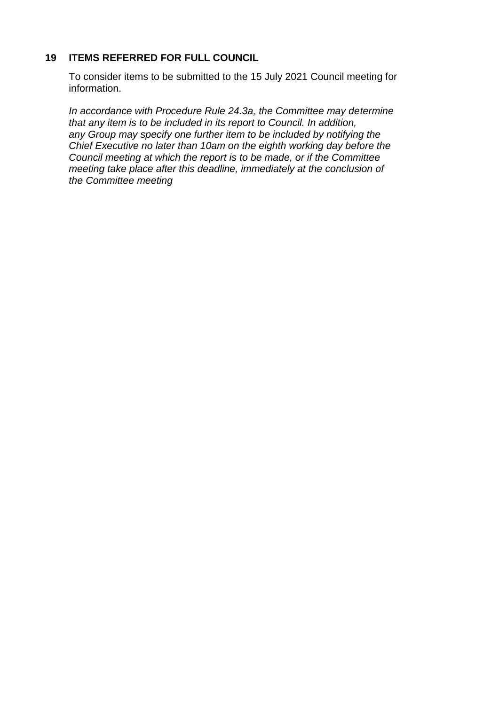## **19 ITEMS REFERRED FOR FULL COUNCIL**

To consider items to be submitted to the 15 July 2021 Council meeting for information.

*In accordance with Procedure Rule 24.3a, the Committee may determine that any item is to be included in its report to Council. In addition, any Group may specify one further item to be included by notifying the Chief Executive no later than 10am on the eighth working day before the Council meeting at which the report is to be made, or if the Committee meeting take place after this deadline, immediately at the conclusion of the Committee meeting*